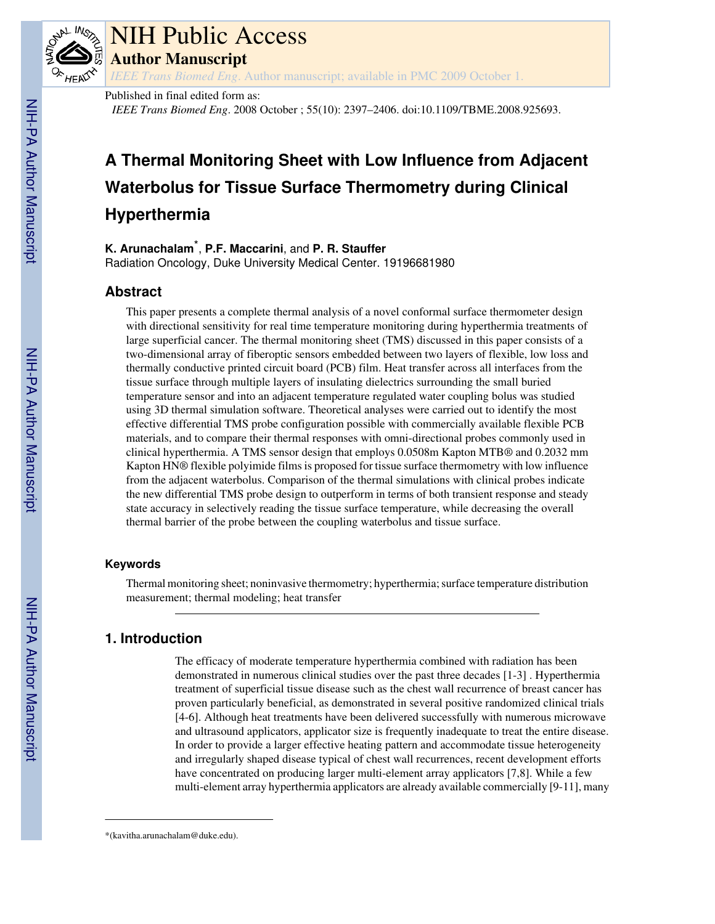

# NIH Public Access

**Author Manuscript**

*IEEE Trans Biomed Eng*. Author manuscript; available in PMC 2009 October 1.

# Published in final edited form as:

*IEEE Trans Biomed Eng*. 2008 October ; 55(10): 2397–2406. doi:10.1109/TBME.2008.925693.

# **A Thermal Monitoring Sheet with Low Influence from Adjacent Waterbolus for Tissue Surface Thermometry during Clinical Hyperthermia**

**K. Arunachalam**\* , **P.F. Maccarini**, and **P. R. Stauffer**

Radiation Oncology, Duke University Medical Center. 19196681980

# **Abstract**

This paper presents a complete thermal analysis of a novel conformal surface thermometer design with directional sensitivity for real time temperature monitoring during hyperthermia treatments of large superficial cancer. The thermal monitoring sheet (TMS) discussed in this paper consists of a two-dimensional array of fiberoptic sensors embedded between two layers of flexible, low loss and thermally conductive printed circuit board (PCB) film. Heat transfer across all interfaces from the tissue surface through multiple layers of insulating dielectrics surrounding the small buried temperature sensor and into an adjacent temperature regulated water coupling bolus was studied using 3D thermal simulation software. Theoretical analyses were carried out to identify the most effective differential TMS probe configuration possible with commercially available flexible PCB materials, and to compare their thermal responses with omni-directional probes commonly used in clinical hyperthermia. A TMS sensor design that employs 0.0508m Kapton MTB® and 0.2032 mm Kapton HN® flexible polyimide films is proposed for tissue surface thermometry with low influence from the adjacent waterbolus. Comparison of the thermal simulations with clinical probes indicate the new differential TMS probe design to outperform in terms of both transient response and steady state accuracy in selectively reading the tissue surface temperature, while decreasing the overall thermal barrier of the probe between the coupling waterbolus and tissue surface.

# **Keywords**

Thermal monitoring sheet; noninvasive thermometry; hyperthermia; surface temperature distribution measurement; thermal modeling; heat transfer

# **1. Introduction**

The efficacy of moderate temperature hyperthermia combined with radiation has been demonstrated in numerous clinical studies over the past three decades [1-3] . Hyperthermia treatment of superficial tissue disease such as the chest wall recurrence of breast cancer has proven particularly beneficial, as demonstrated in several positive randomized clinical trials [4-6]. Although heat treatments have been delivered successfully with numerous microwave and ultrasound applicators, applicator size is frequently inadequate to treat the entire disease. In order to provide a larger effective heating pattern and accommodate tissue heterogeneity and irregularly shaped disease typical of chest wall recurrences, recent development efforts have concentrated on producing larger multi-element array applicators [7,8]. While a few multi-element array hyperthermia applicators are already available commercially [9-11], many

<sup>\*(</sup>kavitha.arunachalam@duke.edu).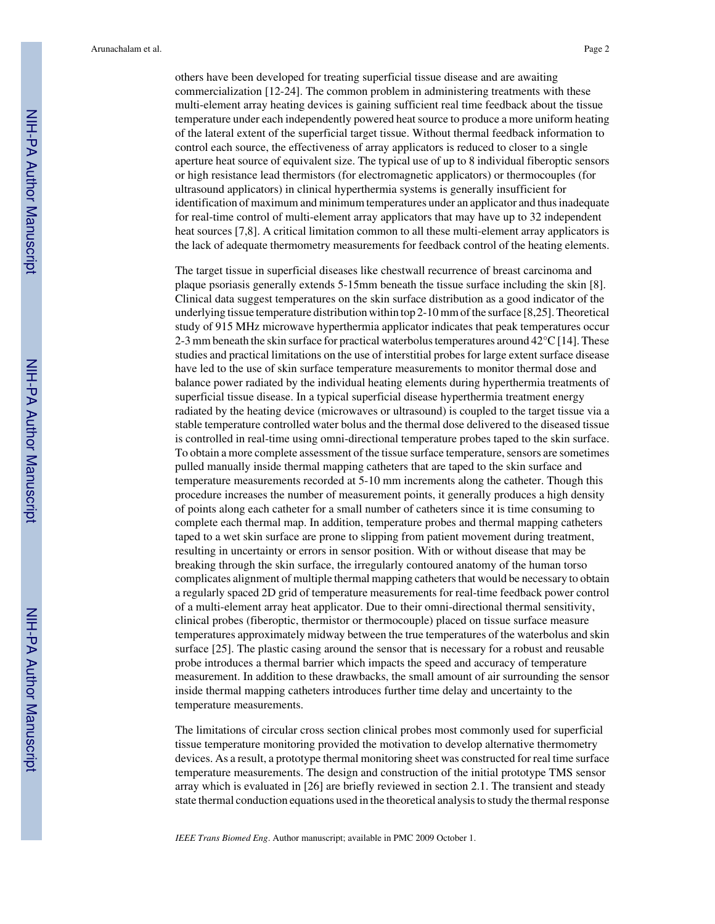others have been developed for treating superficial tissue disease and are awaiting commercialization [12-24]. The common problem in administering treatments with these multi-element array heating devices is gaining sufficient real time feedback about the tissue temperature under each independently powered heat source to produce a more uniform heating of the lateral extent of the superficial target tissue. Without thermal feedback information to control each source, the effectiveness of array applicators is reduced to closer to a single aperture heat source of equivalent size. The typical use of up to 8 individual fiberoptic sensors or high resistance lead thermistors (for electromagnetic applicators) or thermocouples (for ultrasound applicators) in clinical hyperthermia systems is generally insufficient for identification of maximum and minimum temperatures under an applicator and thus inadequate for real-time control of multi-element array applicators that may have up to 32 independent heat sources [7,8]. A critical limitation common to all these multi-element array applicators is the lack of adequate thermometry measurements for feedback control of the heating elements.

The target tissue in superficial diseases like chestwall recurrence of breast carcinoma and plaque psoriasis generally extends 5-15mm beneath the tissue surface including the skin [8]. Clinical data suggest temperatures on the skin surface distribution as a good indicator of the underlying tissue temperature distribution within top 2-10 mm of the surface [8,25]. Theoretical study of 915 MHz microwave hyperthermia applicator indicates that peak temperatures occur 2-3 mm beneath the skin surface for practical waterbolus temperatures around 42°C [14]. These studies and practical limitations on the use of interstitial probes for large extent surface disease have led to the use of skin surface temperature measurements to monitor thermal dose and balance power radiated by the individual heating elements during hyperthermia treatments of superficial tissue disease. In a typical superficial disease hyperthermia treatment energy radiated by the heating device (microwaves or ultrasound) is coupled to the target tissue via a stable temperature controlled water bolus and the thermal dose delivered to the diseased tissue is controlled in real-time using omni-directional temperature probes taped to the skin surface. To obtain a more complete assessment of the tissue surface temperature, sensors are sometimes pulled manually inside thermal mapping catheters that are taped to the skin surface and temperature measurements recorded at 5-10 mm increments along the catheter. Though this procedure increases the number of measurement points, it generally produces a high density of points along each catheter for a small number of catheters since it is time consuming to complete each thermal map. In addition, temperature probes and thermal mapping catheters taped to a wet skin surface are prone to slipping from patient movement during treatment, resulting in uncertainty or errors in sensor position. With or without disease that may be breaking through the skin surface, the irregularly contoured anatomy of the human torso complicates alignment of multiple thermal mapping catheters that would be necessary to obtain a regularly spaced 2D grid of temperature measurements for real-time feedback power control of a multi-element array heat applicator. Due to their omni-directional thermal sensitivity, clinical probes (fiberoptic, thermistor or thermocouple) placed on tissue surface measure temperatures approximately midway between the true temperatures of the waterbolus and skin surface [25]. The plastic casing around the sensor that is necessary for a robust and reusable probe introduces a thermal barrier which impacts the speed and accuracy of temperature measurement. In addition to these drawbacks, the small amount of air surrounding the sensor inside thermal mapping catheters introduces further time delay and uncertainty to the temperature measurements.

The limitations of circular cross section clinical probes most commonly used for superficial tissue temperature monitoring provided the motivation to develop alternative thermometry devices. As a result, a prototype thermal monitoring sheet was constructed for real time surface temperature measurements. The design and construction of the initial prototype TMS sensor array which is evaluated in [26] are briefly reviewed in section 2.1. The transient and steady state thermal conduction equations used in the theoretical analysis to study the thermal response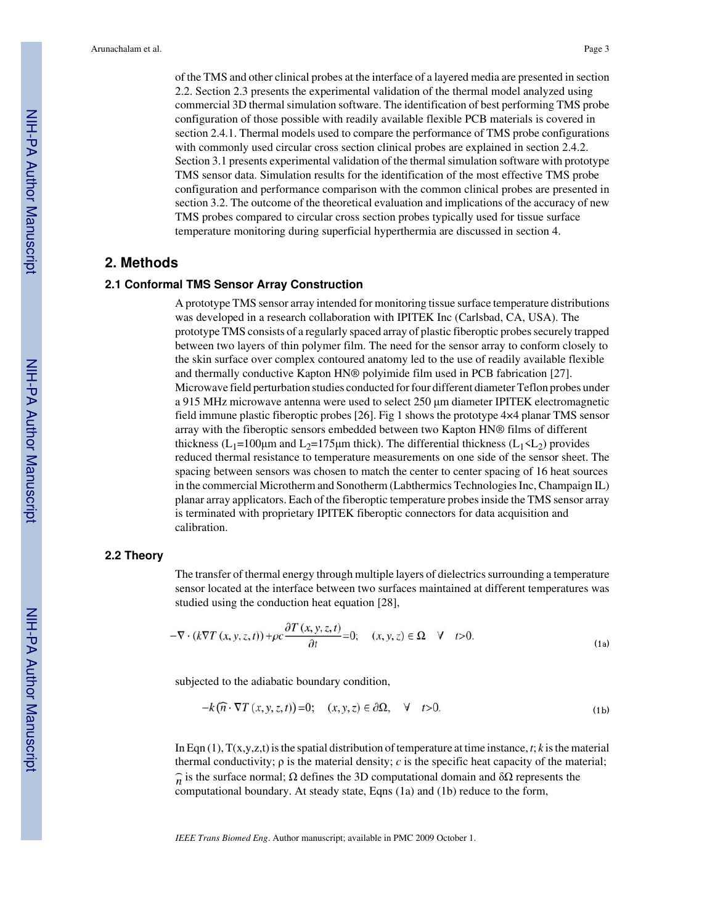of the TMS and other clinical probes at the interface of a layered media are presented in section 2.2. Section 2.3 presents the experimental validation of the thermal model analyzed using commercial 3D thermal simulation software. The identification of best performing TMS probe configuration of those possible with readily available flexible PCB materials is covered in section 2.4.1. Thermal models used to compare the performance of TMS probe configurations with commonly used circular cross section clinical probes are explained in section 2.4.2. Section 3.1 presents experimental validation of the thermal simulation software with prototype TMS sensor data. Simulation results for the identification of the most effective TMS probe configuration and performance comparison with the common clinical probes are presented in section 3.2. The outcome of the theoretical evaluation and implications of the accuracy of new TMS probes compared to circular cross section probes typically used for tissue surface temperature monitoring during superficial hyperthermia are discussed in section 4.

# **2. Methods**

# **2.1 Conformal TMS Sensor Array Construction**

A prototype TMS sensor array intended for monitoring tissue surface temperature distributions was developed in a research collaboration with IPITEK Inc (Carlsbad, CA, USA). The prototype TMS consists of a regularly spaced array of plastic fiberoptic probes securely trapped between two layers of thin polymer film. The need for the sensor array to conform closely to the skin surface over complex contoured anatomy led to the use of readily available flexible and thermally conductive Kapton HN® polyimide film used in PCB fabrication [27]. Microwave field perturbation studies conducted for four different diameter Teflon probes under a 915 MHz microwave antenna were used to select 250 μm diameter IPITEK electromagnetic field immune plastic fiberoptic probes [26]. Fig 1 shows the prototype 4×4 planar TMS sensor array with the fiberoptic sensors embedded between two Kapton HN® films of different thickness (L<sub>1</sub>=100<sub>µm</sub> and L<sub>2</sub>=175<sub>µm</sub> thick). The differential thickness (L<sub>1</sub><L<sub>2</sub>) provides reduced thermal resistance to temperature measurements on one side of the sensor sheet. The spacing between sensors was chosen to match the center to center spacing of 16 heat sources in the commercial Microtherm and Sonotherm (Labthermics Technologies Inc, Champaign IL) planar array applicators. Each of the fiberoptic temperature probes inside the TMS sensor array is terminated with proprietary IPITEK fiberoptic connectors for data acquisition and calibration.

## **2.2 Theory**

The transfer of thermal energy through multiple layers of dielectrics surrounding a temperature sensor located at the interface between two surfaces maintained at different temperatures was studied using the conduction heat equation [28],

$$
-\nabla \cdot (k\nabla T(x, y, z, t)) + \rho c \frac{\partial T(x, y, z, t)}{\partial t} = 0; \quad (x, y, z) \in \Omega \quad \forall \quad t > 0.
$$
 (1a)

subjected to the adiabatic boundary condition,

$$
-k(\widehat{n}\cdot\nabla T(x,y,z,t))=0;\quad (x,y,z)\in\partial\Omega,\quad\forall\quad t>0.
$$
\n(1b)

In Eqn (1), T(x,y,z,t) is the spatial distribution of temperature at time instance, *t*; *k* is the material thermal conductivity;  $\rho$  is the material density; *c* is the specific heat capacity of the material;  $\hat{n}$  is the surface normal;  $\Omega$  defines the 3D computational domain and  $\delta\Omega$  represents the computational boundary. At steady state, Eqns  $(1a)$  and  $(1b)$  reduce to the form,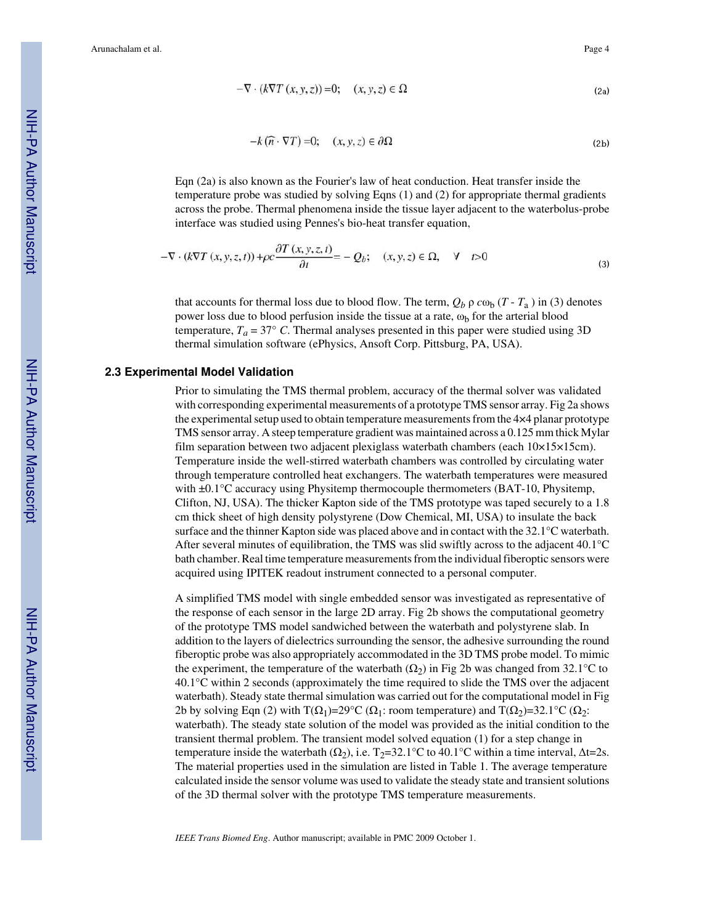$$
-\nabla \cdot (k\nabla T(x, y, z)) = 0; \quad (x, y, z) \in \Omega
$$
\n(2a)

$$
-k(\widehat{n}\cdot\nabla T)=0;\quad (x,y,z)\in\partial\Omega\tag{2b}
$$

Eqn (2a) is also known as the Fourier's law of heat conduction. Heat transfer inside the temperature probe was studied by solving Eqns (1) and (2) for appropriate thermal gradients across the probe. Thermal phenomena inside the tissue layer adjacent to the waterbolus-probe interface was studied using Pennes's bio-heat transfer equation,

$$
-\nabla \cdot (k\nabla T(x, y, z, t)) + \rho c \frac{\partial T(x, y, z, t)}{\partial t} = -Q_b; \quad (x, y, z) \in \Omega, \quad \forall \quad t > 0
$$
\n(3)

that accounts for thermal loss due to blood flow. The term,  $Q_b$   $\rho$   $c\omega_b$  (*T* - *T*<sub>a</sub>) in (3) denotes power loss due to blood perfusion inside the tissue at a rate,  $\omega_b$  for the arterial blood temperature,  $T_a = 37^\circ$  C. Thermal analyses presented in this paper were studied using 3D thermal simulation software (ePhysics, Ansoft Corp. Pittsburg, PA, USA).

#### **2.3 Experimental Model Validation**

Prior to simulating the TMS thermal problem, accuracy of the thermal solver was validated with corresponding experimental measurements of a prototype TMS sensor array. Fig 2a shows the experimental setup used to obtain temperature measurements from the 4×4 planar prototype TMS sensor array. A steep temperature gradient was maintained across a 0.125 mm thick Mylar film separation between two adjacent plexiglass waterbath chambers (each 10×15×15cm). Temperature inside the well-stirred waterbath chambers was controlled by circulating water through temperature controlled heat exchangers. The waterbath temperatures were measured with  $\pm 0.1^{\circ}$ C accuracy using Physitemp thermocouple thermometers (BAT-10, Physitemp, Clifton, NJ, USA). The thicker Kapton side of the TMS prototype was taped securely to a 1.8 cm thick sheet of high density polystyrene (Dow Chemical, MI, USA) to insulate the back surface and the thinner Kapton side was placed above and in contact with the 32.1°C waterbath. After several minutes of equilibration, the TMS was slid swiftly across to the adjacent 40.1°C bath chamber. Real time temperature measurements from the individual fiberoptic sensors were acquired using IPITEK readout instrument connected to a personal computer.

A simplified TMS model with single embedded sensor was investigated as representative of the response of each sensor in the large 2D array. Fig 2b shows the computational geometry of the prototype TMS model sandwiched between the waterbath and polystyrene slab. In addition to the layers of dielectrics surrounding the sensor, the adhesive surrounding the round fiberoptic probe was also appropriately accommodated in the 3D TMS probe model. To mimic the experiment, the temperature of the waterbath  $(\Omega_2)$  in Fig 2b was changed from 32.1°C to 40.1°C within 2 seconds (approximately the time required to slide the TMS over the adjacent waterbath). Steady state thermal simulation was carried out for the computational model in Fig 2b by solving Eqn (2) with  $T(\Omega_1)=29^{\circ}\text{C }(\Omega_1)$ : room temperature) and  $T(\Omega_2)=32.1^{\circ}\text{C }(\Omega_2)$ : waterbath). The steady state solution of the model was provided as the initial condition to the transient thermal problem. The transient model solved equation (1) for a step change in temperature inside the waterbath ( $\Omega_2$ ), i.e. T<sub>2</sub>=32.1°C to 40.1°C within a time interval,  $\Delta t=2s$ . The material properties used in the simulation are listed in Table 1. The average temperature calculated inside the sensor volume was used to validate the steady state and transient solutions of the 3D thermal solver with the prototype TMS temperature measurements.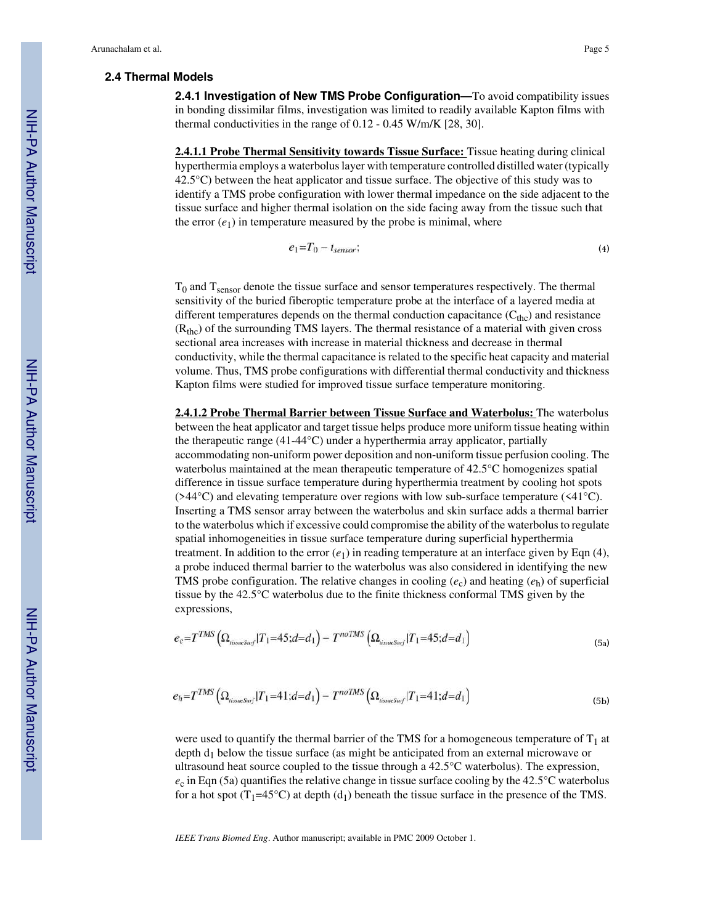#### **2.4 Thermal Models**

**2.4.1 Investigation of New TMS Probe Configuration—**To avoid compatibility issues in bonding dissimilar films, investigation was limited to readily available Kapton films with thermal conductivities in the range of 0.12 - 0.45 W/m/K [28, 30].

**2.4.1.1 Probe Thermal Sensitivity towards Tissue Surface:** Tissue heating during clinical hyperthermia employs a waterbolus layer with temperature controlled distilled water (typically 42.5°C) between the heat applicator and tissue surface. The objective of this study was to identify a TMS probe configuration with lower thermal impedance on the side adjacent to the tissue surface and higher thermal isolation on the side facing away from the tissue such that the error  $(e_1)$  in temperature measured by the probe is minimal, where

$$
e_1 = T_0 - t_{sensor};\tag{4}
$$

 $T_0$  and  $T_{\text{sensor}}$  denote the tissue surface and sensor temperatures respectively. The thermal sensitivity of the buried fiberoptic temperature probe at the interface of a layered media at different temperatures depends on the thermal conduction capacitance  $(C_{\text{thc}})$  and resistance  $(R<sub>the</sub>)$  of the surrounding TMS layers. The thermal resistance of a material with given cross sectional area increases with increase in material thickness and decrease in thermal conductivity, while the thermal capacitance is related to the specific heat capacity and material volume. Thus, TMS probe configurations with differential thermal conductivity and thickness Kapton films were studied for improved tissue surface temperature monitoring.

**2.4.1.2 Probe Thermal Barrier between Tissue Surface and Waterbolus:** The waterbolus between the heat applicator and target tissue helps produce more uniform tissue heating within the therapeutic range (41-44°C) under a hyperthermia array applicator, partially accommodating non-uniform power deposition and non-uniform tissue perfusion cooling. The waterbolus maintained at the mean therapeutic temperature of 42.5°C homogenizes spatial difference in tissue surface temperature during hyperthermia treatment by cooling hot spots ( $>44^{\circ}$ C) and elevating temperature over regions with low sub-surface temperature ( $\leq 41^{\circ}$ C). Inserting a TMS sensor array between the waterbolus and skin surface adds a thermal barrier to the waterbolus which if excessive could compromise the ability of the waterbolus to regulate spatial inhomogeneities in tissue surface temperature during superficial hyperthermia treatment. In addition to the error  $(e_1)$  in reading temperature at an interface given by Eqn (4), a probe induced thermal barrier to the waterbolus was also considered in identifying the new TMS probe configuration. The relative changes in cooling  $(e_c)$  and heating  $(e_h)$  of superficial tissue by the 42.5°C waterbolus due to the finite thickness conformal TMS given by the expressions,

$$
e_c = T^{TMS} \left( \Omega_{tissuessurf} | T_1 = 45; d = d_1 \right) - T^{noTMS} \left( \Omega_{tissuessurf} | T_1 = 45; d = d_1 \right) \tag{5a}
$$

$$
e_h = T^{TMS} \left( \Omega_{iissueSurf} | T_1 = 41; d = d_1 \right) - T^{noTMS} \left( \Omega_{iissueSurf} | T_1 = 41; d = d_1 \right) \tag{5b}
$$

were used to quantify the thermal barrier of the TMS for a homogeneous temperature of  $T_1$  at depth  $d_1$  below the tissue surface (as might be anticipated from an external microwave or ultrasound heat source coupled to the tissue through a 42.5°C waterbolus). The expression,  $e_c$  in Eqn (5a) quantifies the relative change in tissue surface cooling by the 42.5 $\degree$ C waterbolus for a hot spot (T<sub>1</sub>=45°C) at depth (d<sub>1</sub>) beneath the tissue surface in the presence of the TMS.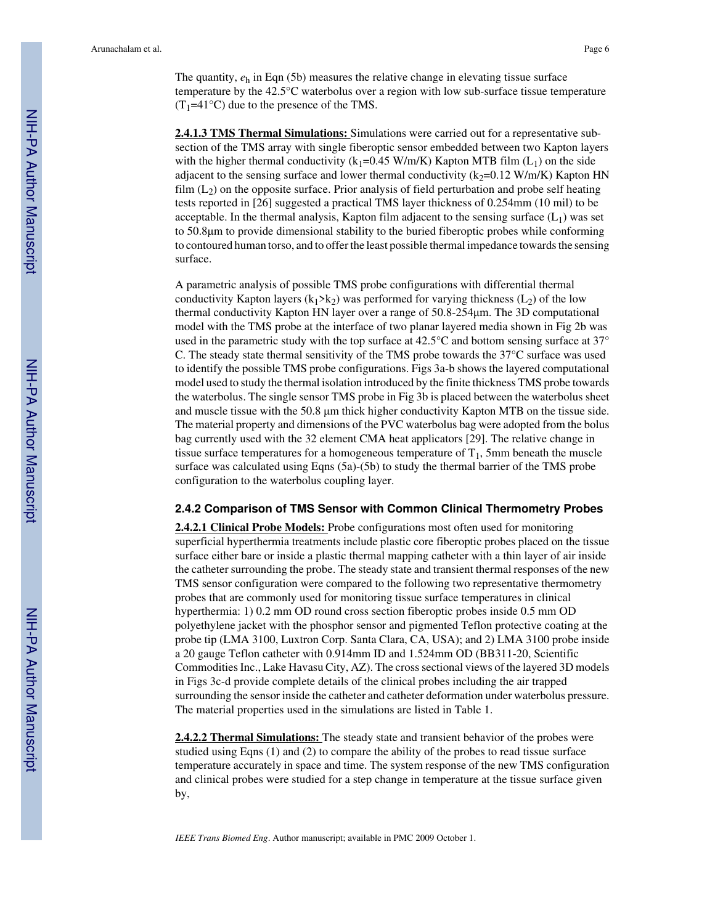The quantity, *e*h in Eqn (5b) measures the relative change in elevating tissue surface temperature by the 42.5°C waterbolus over a region with low sub-surface tissue temperature  $(T_1=41^{\circ}C)$  due to the presence of the TMS.

**2.4.1.3 TMS Thermal Simulations:** Simulations were carried out for a representative subsection of the TMS array with single fiberoptic sensor embedded between two Kapton layers with the higher thermal conductivity ( $k_1$ =0.45 W/m/K) Kapton MTB film ( $L_1$ ) on the side adjacent to the sensing surface and lower thermal conductivity  $(k<sub>2</sub>=0.12$  W/m/K) Kapton HN film  $(L<sub>2</sub>)$  on the opposite surface. Prior analysis of field perturbation and probe self heating tests reported in [26] suggested a practical TMS layer thickness of 0.254mm (10 mil) to be acceptable. In the thermal analysis, Kapton film adjacent to the sensing surface  $(L_1)$  was set to 50.8μm to provide dimensional stability to the buried fiberoptic probes while conforming to contoured human torso, and to offer the least possible thermal impedance towards the sensing surface.

A parametric analysis of possible TMS probe configurations with differential thermal conductivity Kapton layers (k<sub>1</sub>>k<sub>2</sub>) was performed for varying thickness (L<sub>2</sub>) of the low thermal conductivity Kapton HN layer over a range of 50.8-254μm. The 3D computational model with the TMS probe at the interface of two planar layered media shown in Fig 2b was used in the parametric study with the top surface at 42.5°C and bottom sensing surface at 37° C. The steady state thermal sensitivity of the TMS probe towards the 37°C surface was used to identify the possible TMS probe configurations. Figs 3a-b shows the layered computational model used to study the thermal isolation introduced by the finite thickness TMS probe towards the waterbolus. The single sensor TMS probe in Fig 3b is placed between the waterbolus sheet and muscle tissue with the 50.8 μm thick higher conductivity Kapton MTB on the tissue side. The material property and dimensions of the PVC waterbolus bag were adopted from the bolus bag currently used with the 32 element CMA heat applicators [29]. The relative change in tissue surface temperatures for a homogeneous temperature of  $T_1$ , 5mm beneath the muscle surface was calculated using Eqns (5a)-(5b) to study the thermal barrier of the TMS probe configuration to the waterbolus coupling layer.

### **2.4.2 Comparison of TMS Sensor with Common Clinical Thermometry Probes**

**2.4.2.1 Clinical Probe Models:** Probe configurations most often used for monitoring superficial hyperthermia treatments include plastic core fiberoptic probes placed on the tissue surface either bare or inside a plastic thermal mapping catheter with a thin layer of air inside the catheter surrounding the probe. The steady state and transient thermal responses of the new TMS sensor configuration were compared to the following two representative thermometry probes that are commonly used for monitoring tissue surface temperatures in clinical hyperthermia: 1) 0.2 mm OD round cross section fiberoptic probes inside 0.5 mm OD polyethylene jacket with the phosphor sensor and pigmented Teflon protective coating at the probe tip (LMA 3100, Luxtron Corp. Santa Clara, CA, USA); and 2) LMA 3100 probe inside a 20 gauge Teflon catheter with 0.914mm ID and 1.524mm OD (BB311-20, Scientific Commodities Inc., Lake Havasu City, AZ). The cross sectional views of the layered 3D models in Figs 3c-d provide complete details of the clinical probes including the air trapped surrounding the sensor inside the catheter and catheter deformation under waterbolus pressure. The material properties used in the simulations are listed in Table 1.

**2.4.2.2 Thermal Simulations:** The steady state and transient behavior of the probes were studied using Eqns (1) and (2) to compare the ability of the probes to read tissue surface temperature accurately in space and time. The system response of the new TMS configuration and clinical probes were studied for a step change in temperature at the tissue surface given by,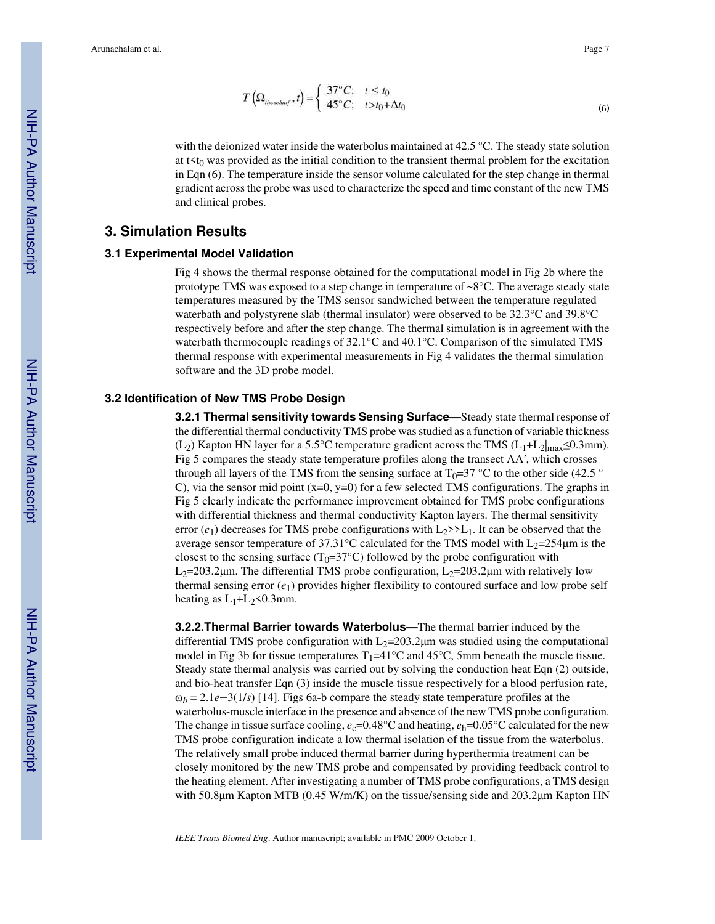$$
T\left(\Omega_{tissueSurf}, t\right) = \begin{cases} 37^{\circ}C; & t \leq t_0\\ 45^{\circ}C; & t > t_0 + \Delta t_0 \end{cases}
$$
\n(6)

with the deionized water inside the waterbolus maintained at 42.5 °C. The steady state solution at  $t < t<sub>0</sub>$  was provided as the initial condition to the transient thermal problem for the excitation in Eqn (6). The temperature inside the sensor volume calculated for the step change in thermal gradient across the probe was used to characterize the speed and time constant of the new TMS and clinical probes.

# **3. Simulation Results**

# **3.1 Experimental Model Validation**

Fig 4 shows the thermal response obtained for the computational model in Fig 2b where the prototype TMS was exposed to a step change in temperature of ~8°C. The average steady state temperatures measured by the TMS sensor sandwiched between the temperature regulated waterbath and polystyrene slab (thermal insulator) were observed to be 32.3°C and 39.8°C respectively before and after the step change. The thermal simulation is in agreement with the waterbath thermocouple readings of 32.1°C and 40.1°C. Comparison of the simulated TMS thermal response with experimental measurements in Fig 4 validates the thermal simulation software and the 3D probe model.

# **3.2 Identification of New TMS Probe Design**

**3.2.1 Thermal sensitivity towards Sensing Surface—**Steady state thermal response of the differential thermal conductivity TMS probe was studied as a function of variable thickness (L<sub>2</sub>) Kapton HN layer for a 5.5°C temperature gradient across the TMS (L<sub>1</sub>+L<sub>2</sub>|<sub>max</sub>≤0.3mm). Fig 5 compares the steady state temperature profiles along the transect AA′, which crosses through all layers of the TMS from the sensing surface at  $T_0=37 \degree C$  to the other side (42.5  $\degree$ C), via the sensor mid point  $(x=0, y=0)$  for a few selected TMS configurations. The graphs in Fig 5 clearly indicate the performance improvement obtained for TMS probe configurations with differential thickness and thermal conductivity Kapton layers. The thermal sensitivity error  $(e_1)$  decreases for TMS probe configurations with  $L_2$ >> $L_1$ . It can be observed that the average sensor temperature of 37.31°C calculated for the TMS model with  $L_2=254 \mu m$  is the closest to the sensing surface  $(T_0=37^{\circ}C)$  followed by the probe configuration with L<sub>2</sub>=203.2μm. The differential TMS probe configuration, L<sub>2</sub>=203.2μm with relatively low thermal sensing error  $(e_1)$  provides higher flexibility to contoured surface and low probe self heating as  $L_1+L_2<0.3$ mm.

**3.2.2.Thermal Barrier towards Waterbolus—**The thermal barrier induced by the differential TMS probe configuration with  $L_2=203.2\mu$ m was studied using the computational model in Fig 3b for tissue temperatures  $T_1=41^{\circ}C$  and 45<sup>o</sup>C, 5mm beneath the muscle tissue. Steady state thermal analysis was carried out by solving the conduction heat Eqn (2) outside, and bio-heat transfer Eqn (3) inside the muscle tissue respectively for a blood perfusion rate,  $\omega_b = 2.1e-3(1/s)$  [14]. Figs 6a-b compare the steady state temperature profiles at the waterbolus-muscle interface in the presence and absence of the new TMS probe configuration. The change in tissue surface cooling,  $e_c$ =0.48°C and heating,  $e_h$ =0.05°C calculated for the new TMS probe configuration indicate a low thermal isolation of the tissue from the waterbolus. The relatively small probe induced thermal barrier during hyperthermia treatment can be closely monitored by the new TMS probe and compensated by providing feedback control to the heating element. After investigating a number of TMS probe configurations, a TMS design with 50.8μm Kapton MTB (0.45 W/m/K) on the tissue/sensing side and 203.2μm Kapton HN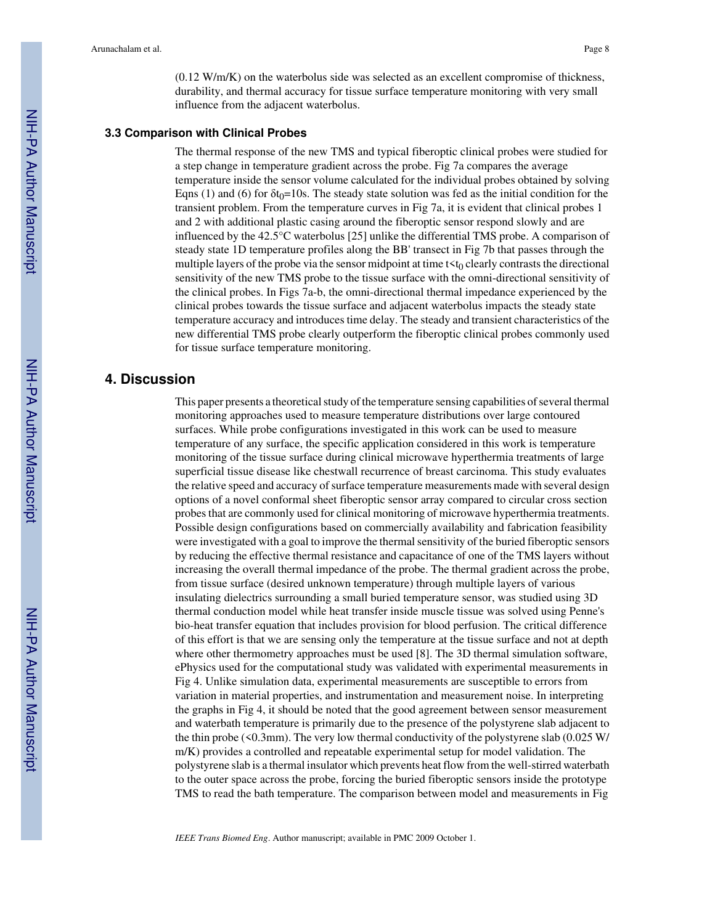(0.12 W/m/K) on the waterbolus side was selected as an excellent compromise of thickness, durability, and thermal accuracy for tissue surface temperature monitoring with very small influence from the adjacent waterbolus.

## **3.3 Comparison with Clinical Probes**

The thermal response of the new TMS and typical fiberoptic clinical probes were studied for a step change in temperature gradient across the probe. Fig 7a compares the average temperature inside the sensor volume calculated for the individual probes obtained by solving Eqns (1) and (6) for  $\delta t_0$ =10s. The steady state solution was fed as the initial condition for the transient problem. From the temperature curves in Fig 7a, it is evident that clinical probes 1 and 2 with additional plastic casing around the fiberoptic sensor respond slowly and are influenced by the 42.5°C waterbolus [25] unlike the differential TMS probe. A comparison of steady state 1D temperature profiles along the BB' transect in Fig 7b that passes through the multiple layers of the probe via the sensor midpoint at time  $t < t_0$  clearly contrasts the directional sensitivity of the new TMS probe to the tissue surface with the omni-directional sensitivity of the clinical probes. In Figs 7a-b, the omni-directional thermal impedance experienced by the clinical probes towards the tissue surface and adjacent waterbolus impacts the steady state temperature accuracy and introduces time delay. The steady and transient characteristics of the new differential TMS probe clearly outperform the fiberoptic clinical probes commonly used for tissue surface temperature monitoring.

# **4. Discussion**

This paper presents a theoretical study of the temperature sensing capabilities of several thermal monitoring approaches used to measure temperature distributions over large contoured surfaces. While probe configurations investigated in this work can be used to measure temperature of any surface, the specific application considered in this work is temperature monitoring of the tissue surface during clinical microwave hyperthermia treatments of large superficial tissue disease like chestwall recurrence of breast carcinoma. This study evaluates the relative speed and accuracy of surface temperature measurements made with several design options of a novel conformal sheet fiberoptic sensor array compared to circular cross section probes that are commonly used for clinical monitoring of microwave hyperthermia treatments. Possible design configurations based on commercially availability and fabrication feasibility were investigated with a goal to improve the thermal sensitivity of the buried fiberoptic sensors by reducing the effective thermal resistance and capacitance of one of the TMS layers without increasing the overall thermal impedance of the probe. The thermal gradient across the probe, from tissue surface (desired unknown temperature) through multiple layers of various insulating dielectrics surrounding a small buried temperature sensor, was studied using 3D thermal conduction model while heat transfer inside muscle tissue was solved using Penne's bio-heat transfer equation that includes provision for blood perfusion. The critical difference of this effort is that we are sensing only the temperature at the tissue surface and not at depth where other thermometry approaches must be used [8]. The 3D thermal simulation software, ePhysics used for the computational study was validated with experimental measurements in Fig 4. Unlike simulation data, experimental measurements are susceptible to errors from variation in material properties, and instrumentation and measurement noise. In interpreting the graphs in Fig 4, it should be noted that the good agreement between sensor measurement and waterbath temperature is primarily due to the presence of the polystyrene slab adjacent to the thin probe ( $\leq 0.3$ mm). The very low thermal conductivity of the polystyrene slab (0.025 W/ m/K) provides a controlled and repeatable experimental setup for model validation. The polystyrene slab is a thermal insulator which prevents heat flow from the well-stirred waterbath to the outer space across the probe, forcing the buried fiberoptic sensors inside the prototype TMS to read the bath temperature. The comparison between model and measurements in Fig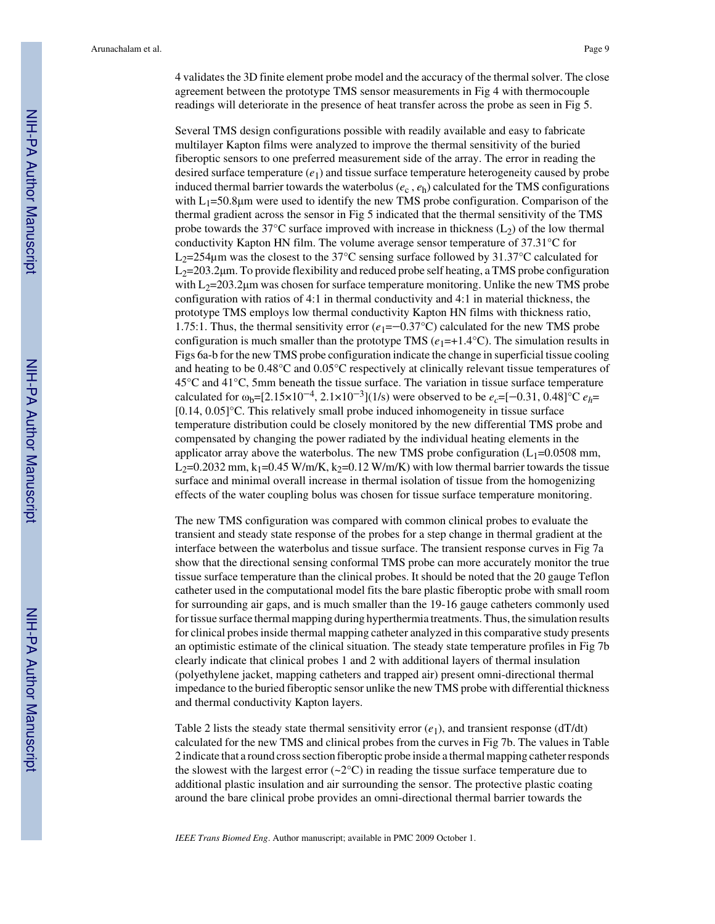4 validates the 3D finite element probe model and the accuracy of the thermal solver. The close agreement between the prototype TMS sensor measurements in Fig 4 with thermocouple readings will deteriorate in the presence of heat transfer across the probe as seen in Fig 5.

Several TMS design configurations possible with readily available and easy to fabricate multilayer Kapton films were analyzed to improve the thermal sensitivity of the buried fiberoptic sensors to one preferred measurement side of the array. The error in reading the desired surface temperature (*e*1) and tissue surface temperature heterogeneity caused by probe induced thermal barrier towards the waterbolus ( $e_c$ ,  $e_h$ ) calculated for the TMS configurations with  $L_1$ =50.8 $\mu$ m were used to identify the new TMS probe configuration. Comparison of the thermal gradient across the sensor in Fig 5 indicated that the thermal sensitivity of the TMS probe towards the  $37^{\circ}$ C surface improved with increase in thickness (L<sub>2</sub>) of the low thermal conductivity Kapton HN film. The volume average sensor temperature of 37.31°C for  $L_2$ =254 $\mu$ m was the closest to the 37°C sensing surface followed by 31.37°C calculated for  $L_2$ =203.2 $\mu$ m. To provide flexibility and reduced probe self heating, a TMS probe configuration with  $L_2=203.2 \mu m$  was chosen for surface temperature monitoring. Unlike the new TMS probe configuration with ratios of 4:1 in thermal conductivity and 4:1 in material thickness, the prototype TMS employs low thermal conductivity Kapton HN films with thickness ratio, 1.75:1. Thus, the thermal sensitivity error  $(e_1 = -0.37^{\circ}C)$  calculated for the new TMS probe configuration is much smaller than the prototype TMS  $(e_1=+1.4^{\circ}\text{C})$ . The simulation results in Figs 6a-b for the new TMS probe configuration indicate the change in superficial tissue cooling and heating to be 0.48°C and 0.05°C respectively at clinically relevant tissue temperatures of 45°C and 41°C, 5mm beneath the tissue surface. The variation in tissue surface temperature calculated for  $\omega_b = [2.15 \times 10^{-4}, 2.1 \times 10^{-3}]$  (1/s) were observed to be  $e_c = [-0.31, 0.48]$  °C  $e_h$ = [0.14, 0.05]°C. This relatively small probe induced inhomogeneity in tissue surface temperature distribution could be closely monitored by the new differential TMS probe and compensated by changing the power radiated by the individual heating elements in the applicator array above the waterbolus. The new TMS probe configuration  $(L_1=0.0508 \text{ mm})$ ,  $L_2$ =0.2032 mm, k<sub>1</sub>=0.45 W/m/K, k<sub>2</sub>=0.12 W/m/K) with low thermal barrier towards the tissue surface and minimal overall increase in thermal isolation of tissue from the homogenizing effects of the water coupling bolus was chosen for tissue surface temperature monitoring.

The new TMS configuration was compared with common clinical probes to evaluate the transient and steady state response of the probes for a step change in thermal gradient at the interface between the waterbolus and tissue surface. The transient response curves in Fig 7a show that the directional sensing conformal TMS probe can more accurately monitor the true tissue surface temperature than the clinical probes. It should be noted that the 20 gauge Teflon catheter used in the computational model fits the bare plastic fiberoptic probe with small room for surrounding air gaps, and is much smaller than the 19-16 gauge catheters commonly used for tissue surface thermal mapping during hyperthermia treatments. Thus, the simulation results for clinical probes inside thermal mapping catheter analyzed in this comparative study presents an optimistic estimate of the clinical situation. The steady state temperature profiles in Fig 7b clearly indicate that clinical probes 1 and 2 with additional layers of thermal insulation (polyethylene jacket, mapping catheters and trapped air) present omni-directional thermal impedance to the buried fiberoptic sensor unlike the new TMS probe with differential thickness and thermal conductivity Kapton layers.

Table 2 lists the steady state thermal sensitivity error  $(e_1)$ , and transient response (dT/dt) calculated for the new TMS and clinical probes from the curves in Fig 7b. The values in Table 2 indicate that a round cross section fiberoptic probe inside a thermal mapping catheter responds the slowest with the largest error ( $\sim 2^{\circ}$ C) in reading the tissue surface temperature due to additional plastic insulation and air surrounding the sensor. The protective plastic coating around the bare clinical probe provides an omni-directional thermal barrier towards the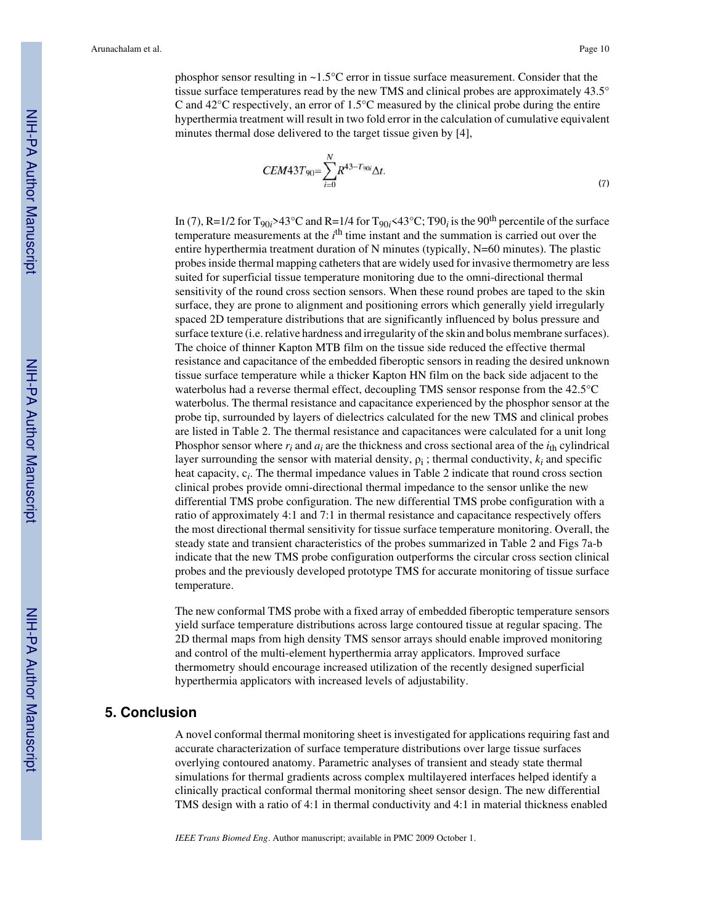phosphor sensor resulting in ~1.5°C error in tissue surface measurement. Consider that the tissue surface temperatures read by the new TMS and clinical probes are approximately 43.5° C and  $42^{\circ}$ C respectively, an error of 1.5 $^{\circ}$ C measured by the clinical probe during the entire hyperthermia treatment will result in two fold error in the calculation of cumulative equivalent minutes thermal dose delivered to the target tissue given by [4],

$$
CEM43T_{90} = \sum_{i=0}^{N} R^{43 - T_{90i}} \Delta t.
$$
\n(7)

In (7), R=1/2 for  $T_{90i}$ >43°C and R=1/4 for  $T_{90i}$  <43°C; T90<sub>*i*</sub> is the 90<sup>th</sup> percentile of the surface temperature measurements at the *i*<sup>th</sup> time instant and the summation is carried out over the entire hyperthermia treatment duration of N minutes (typically, N=60 minutes). The plastic probes inside thermal mapping catheters that are widely used for invasive thermometry are less suited for superficial tissue temperature monitoring due to the omni-directional thermal sensitivity of the round cross section sensors. When these round probes are taped to the skin surface, they are prone to alignment and positioning errors which generally yield irregularly spaced 2D temperature distributions that are significantly influenced by bolus pressure and surface texture (i.e. relative hardness and irregularity of the skin and bolus membrane surfaces). The choice of thinner Kapton MTB film on the tissue side reduced the effective thermal resistance and capacitance of the embedded fiberoptic sensors in reading the desired unknown tissue surface temperature while a thicker Kapton HN film on the back side adjacent to the waterbolus had a reverse thermal effect, decoupling TMS sensor response from the 42.5°C waterbolus. The thermal resistance and capacitance experienced by the phosphor sensor at the probe tip, surrounded by layers of dielectrics calculated for the new TMS and clinical probes are listed in Table 2. The thermal resistance and capacitances were calculated for a unit long Phosphor sensor where  $r_i$  and  $a_i$  are the thickness and cross sectional area of the  $i_{\text{th}}$  cylindrical layer surrounding the sensor with material density,  $\rho_i$ ; thermal conductivity,  $k_i$  and specific heat capacity, c<sub>i</sub>. The thermal impedance values in Table 2 indicate that round cross section clinical probes provide omni-directional thermal impedance to the sensor unlike the new differential TMS probe configuration. The new differential TMS probe configuration with a ratio of approximately 4:1 and 7:1 in thermal resistance and capacitance respectively offers the most directional thermal sensitivity for tissue surface temperature monitoring. Overall, the steady state and transient characteristics of the probes summarized in Table 2 and Figs 7a-b indicate that the new TMS probe configuration outperforms the circular cross section clinical probes and the previously developed prototype TMS for accurate monitoring of tissue surface temperature.

The new conformal TMS probe with a fixed array of embedded fiberoptic temperature sensors yield surface temperature distributions across large contoured tissue at regular spacing. The 2D thermal maps from high density TMS sensor arrays should enable improved monitoring and control of the multi-element hyperthermia array applicators. Improved surface thermometry should encourage increased utilization of the recently designed superficial hyperthermia applicators with increased levels of adjustability.

# **5. Conclusion**

A novel conformal thermal monitoring sheet is investigated for applications requiring fast and accurate characterization of surface temperature distributions over large tissue surfaces overlying contoured anatomy. Parametric analyses of transient and steady state thermal simulations for thermal gradients across complex multilayered interfaces helped identify a clinically practical conformal thermal monitoring sheet sensor design. The new differential TMS design with a ratio of 4:1 in thermal conductivity and 4:1 in material thickness enabled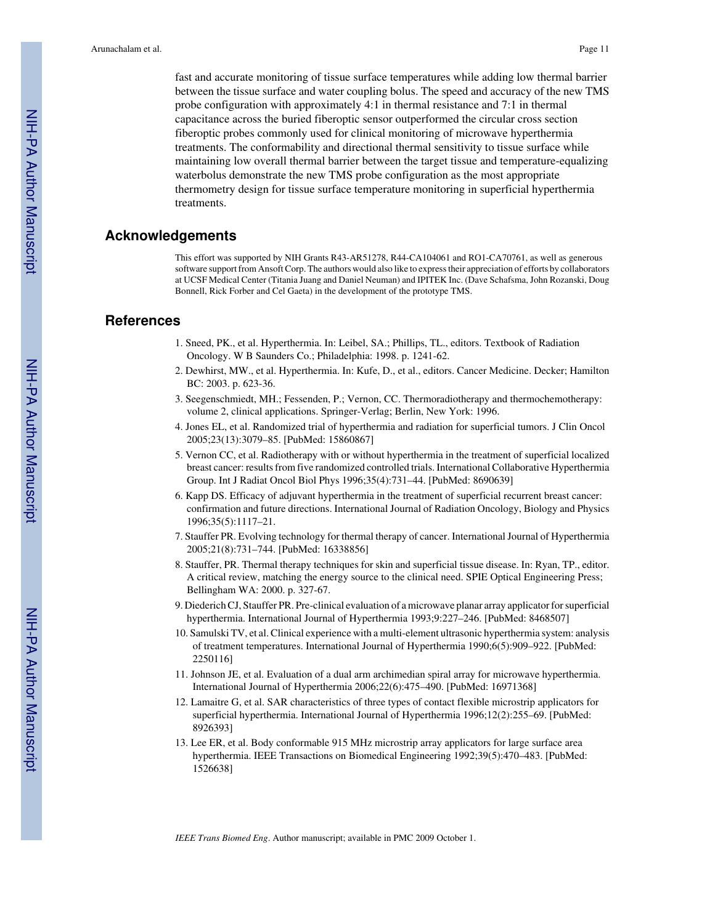fast and accurate monitoring of tissue surface temperatures while adding low thermal barrier between the tissue surface and water coupling bolus. The speed and accuracy of the new TMS probe configuration with approximately 4:1 in thermal resistance and 7:1 in thermal capacitance across the buried fiberoptic sensor outperformed the circular cross section fiberoptic probes commonly used for clinical monitoring of microwave hyperthermia treatments. The conformability and directional thermal sensitivity to tissue surface while maintaining low overall thermal barrier between the target tissue and temperature-equalizing waterbolus demonstrate the new TMS probe configuration as the most appropriate thermometry design for tissue surface temperature monitoring in superficial hyperthermia treatments.

# **Acknowledgements**

This effort was supported by NIH Grants R43-AR51278, R44-CA104061 and RO1-CA70761, as well as generous software support from Ansoft Corp. The authors would also like to express their appreciation of efforts by collaborators at UCSF Medical Center (Titania Juang and Daniel Neuman) and IPITEK Inc. (Dave Schafsma, John Rozanski, Doug Bonnell, Rick Forber and Cel Gaeta) in the development of the prototype TMS.

# **References**

- 1. Sneed, PK., et al. Hyperthermia. In: Leibel, SA.; Phillips, TL., editors. Textbook of Radiation Oncology. W B Saunders Co.; Philadelphia: 1998. p. 1241-62.
- 2. Dewhirst, MW., et al. Hyperthermia. In: Kufe, D., et al., editors. Cancer Medicine. Decker; Hamilton BC: 2003. p. 623-36.
- 3. Seegenschmiedt, MH.; Fessenden, P.; Vernon, CC. Thermoradiotherapy and thermochemotherapy: volume 2, clinical applications. Springer-Verlag; Berlin, New York: 1996.
- 4. Jones EL, et al. Randomized trial of hyperthermia and radiation for superficial tumors. J Clin Oncol 2005;23(13):3079–85. [PubMed: 15860867]
- 5. Vernon CC, et al. Radiotherapy with or without hyperthermia in the treatment of superficial localized breast cancer: results from five randomized controlled trials. International Collaborative Hyperthermia Group. Int J Radiat Oncol Biol Phys 1996;35(4):731–44. [PubMed: 8690639]
- 6. Kapp DS. Efficacy of adjuvant hyperthermia in the treatment of superficial recurrent breast cancer: confirmation and future directions. International Journal of Radiation Oncology, Biology and Physics 1996;35(5):1117–21.
- 7. Stauffer PR. Evolving technology for thermal therapy of cancer. International Journal of Hyperthermia 2005;21(8):731–744. [PubMed: 16338856]
- 8. Stauffer, PR. Thermal therapy techniques for skin and superficial tissue disease. In: Ryan, TP., editor. A critical review, matching the energy source to the clinical need. SPIE Optical Engineering Press; Bellingham WA: 2000. p. 327-67.
- 9. Diederich CJ, Stauffer PR. Pre-clinical evaluation of a microwave planar array applicator for superficial hyperthermia. International Journal of Hyperthermia 1993;9:227–246. [PubMed: 8468507]
- 10. Samulski TV, et al. Clinical experience with a multi-element ultrasonic hyperthermia system: analysis of treatment temperatures. International Journal of Hyperthermia 1990;6(5):909–922. [PubMed: 2250116]
- 11. Johnson JE, et al. Evaluation of a dual arm archimedian spiral array for microwave hyperthermia. International Journal of Hyperthermia 2006;22(6):475–490. [PubMed: 16971368]
- 12. Lamaitre G, et al. SAR characteristics of three types of contact flexible microstrip applicators for superficial hyperthermia. International Journal of Hyperthermia 1996;12(2):255–69. [PubMed: 8926393]
- 13. Lee ER, et al. Body conformable 915 MHz microstrip array applicators for large surface area hyperthermia. IEEE Transactions on Biomedical Engineering 1992;39(5):470–483. [PubMed: 1526638]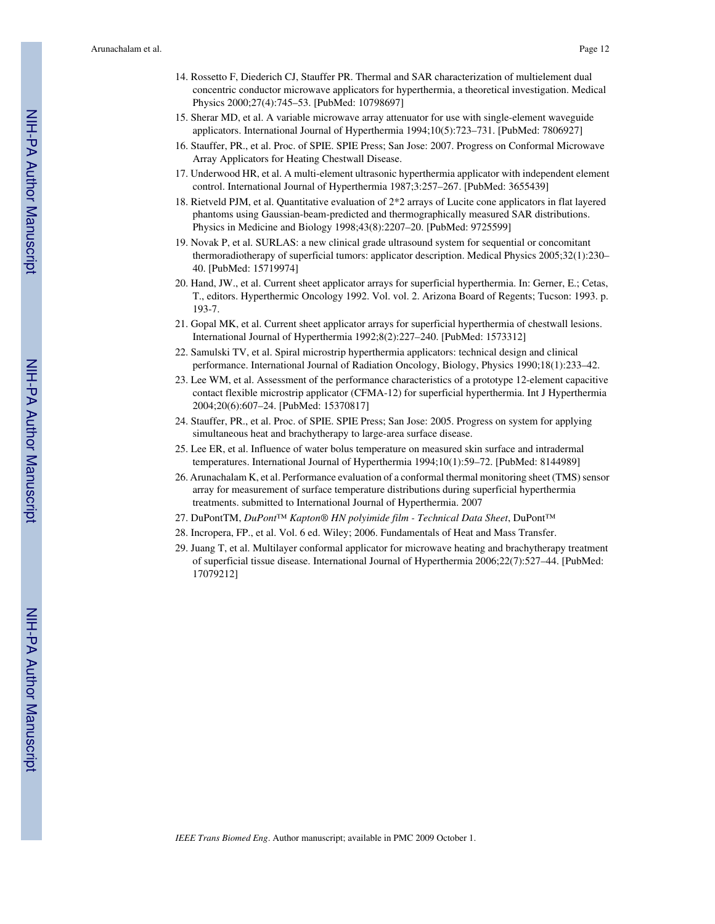- 14. Rossetto F, Diederich CJ, Stauffer PR. Thermal and SAR characterization of multielement dual concentric conductor microwave applicators for hyperthermia, a theoretical investigation. Medical Physics 2000;27(4):745–53. [PubMed: 10798697]
- 15. Sherar MD, et al. A variable microwave array attenuator for use with single-element waveguide applicators. International Journal of Hyperthermia 1994;10(5):723–731. [PubMed: 7806927]
- 16. Stauffer, PR., et al. Proc. of SPIE. SPIE Press; San Jose: 2007. Progress on Conformal Microwave Array Applicators for Heating Chestwall Disease.
- 17. Underwood HR, et al. A multi-element ultrasonic hyperthermia applicator with independent element control. International Journal of Hyperthermia 1987;3:257–267. [PubMed: 3655439]
- 18. Rietveld PJM, et al. Quantitative evaluation of 2\*2 arrays of Lucite cone applicators in flat layered phantoms using Gaussian-beam-predicted and thermographically measured SAR distributions. Physics in Medicine and Biology 1998;43(8):2207–20. [PubMed: 9725599]
- 19. Novak P, et al. SURLAS: a new clinical grade ultrasound system for sequential or concomitant thermoradiotherapy of superficial tumors: applicator description. Medical Physics 2005;32(1):230– 40. [PubMed: 15719974]
- 20. Hand, JW., et al. Current sheet applicator arrays for superficial hyperthermia. In: Gerner, E.; Cetas, T., editors. Hyperthermic Oncology 1992. Vol. vol. 2. Arizona Board of Regents; Tucson: 1993. p. 193-7.
- 21. Gopal MK, et al. Current sheet applicator arrays for superficial hyperthermia of chestwall lesions. International Journal of Hyperthermia 1992;8(2):227–240. [PubMed: 1573312]
- 22. Samulski TV, et al. Spiral microstrip hyperthermia applicators: technical design and clinical performance. International Journal of Radiation Oncology, Biology, Physics 1990;18(1):233–42.
- 23. Lee WM, et al. Assessment of the performance characteristics of a prototype 12-element capacitive contact flexible microstrip applicator (CFMA-12) for superficial hyperthermia. Int J Hyperthermia 2004;20(6):607–24. [PubMed: 15370817]
- 24. Stauffer, PR., et al. Proc. of SPIE. SPIE Press; San Jose: 2005. Progress on system for applying simultaneous heat and brachytherapy to large-area surface disease.
- 25. Lee ER, et al. Influence of water bolus temperature on measured skin surface and intradermal temperatures. International Journal of Hyperthermia 1994;10(1):59–72. [PubMed: 8144989]
- 26. Arunachalam K, et al. Performance evaluation of a conformal thermal monitoring sheet (TMS) sensor array for measurement of surface temperature distributions during superficial hyperthermia treatments. submitted to International Journal of Hyperthermia. 2007
- 27. DuPontTM, *DuPont*™ *Kapton® HN polyimide film Technical Data Sheet*, DuPont™
- 28. Incropera, FP., et al. Vol. 6 ed. Wiley; 2006. Fundamentals of Heat and Mass Transfer.
- 29. Juang T, et al. Multilayer conformal applicator for microwave heating and brachytherapy treatment of superficial tissue disease. International Journal of Hyperthermia 2006;22(7):527–44. [PubMed: 17079212]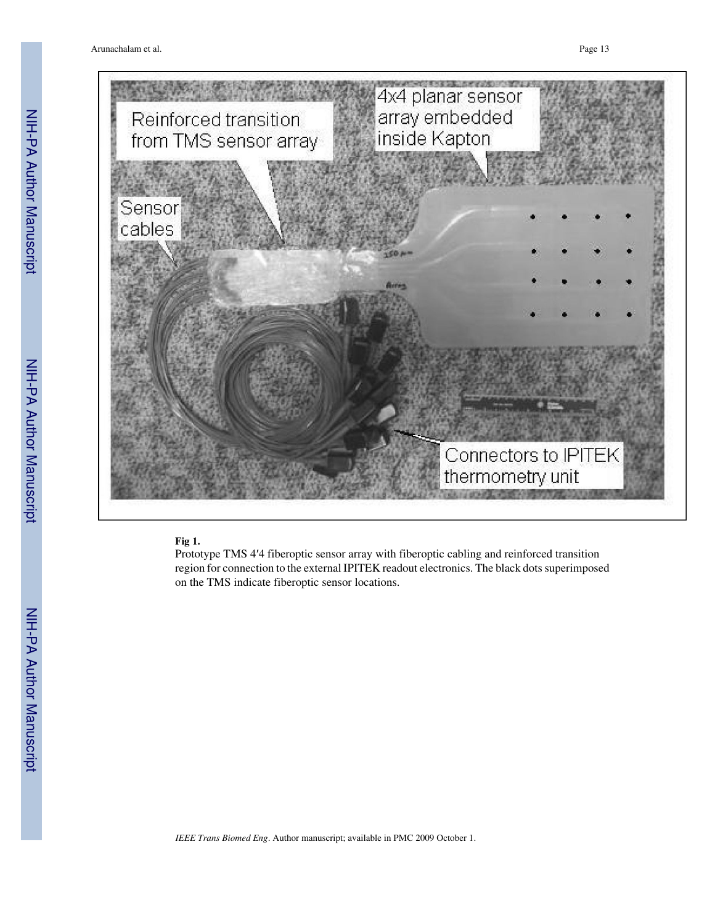Arunachalam et al. Page 13



## **Fig 1.**

Prototype TMS 4′4 fiberoptic sensor array with fiberoptic cabling and reinforced transition region for connection to the external IPITEK readout electronics. The black dots superimposed on the TMS indicate fiberoptic sensor locations.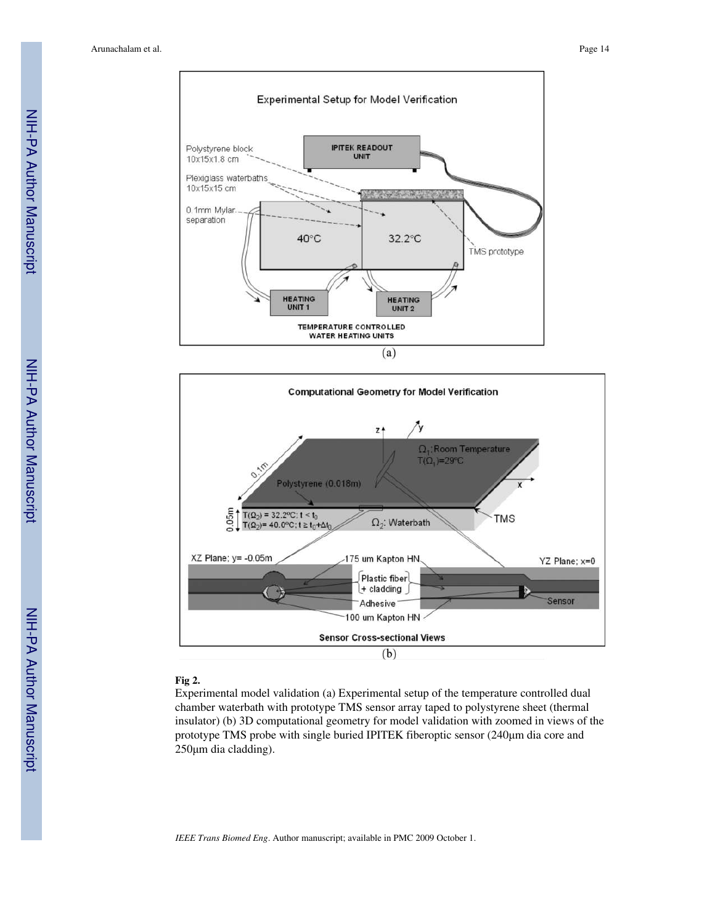



#### **Fig 2.**

Experimental model validation (a) Experimental setup of the temperature controlled dual chamber waterbath with prototype TMS sensor array taped to polystyrene sheet (thermal insulator) (b) 3D computational geometry for model validation with zoomed in views of the prototype TMS probe with single buried IPITEK fiberoptic sensor (240μm dia core and 250μm dia cladding).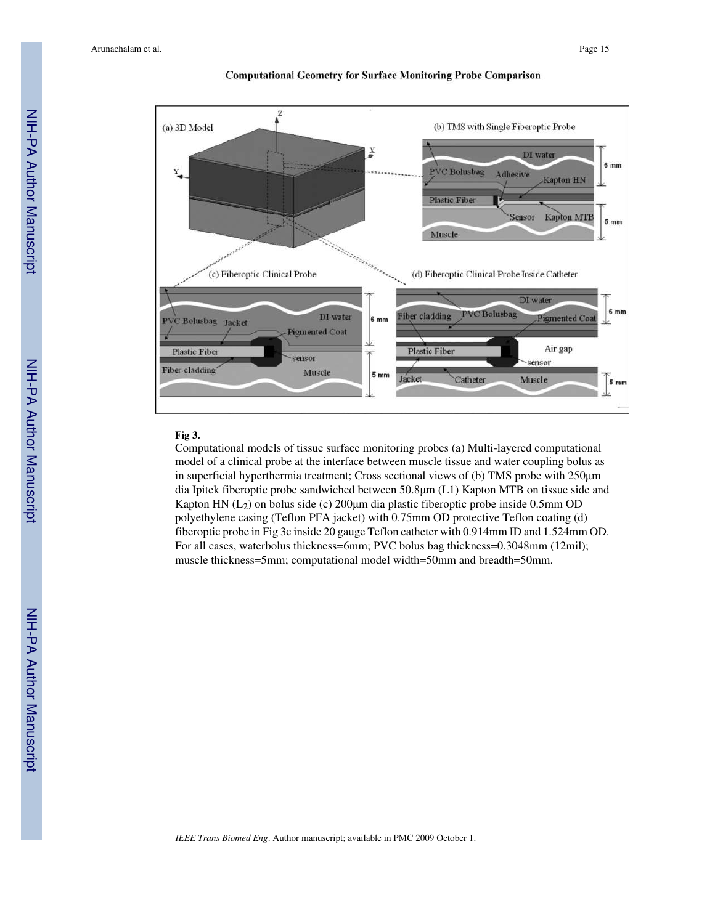

#### **Computational Geometry for Surface Monitoring Probe Comparison**

#### **Fig 3.**

Computational models of tissue surface monitoring probes (a) Multi-layered computational model of a clinical probe at the interface between muscle tissue and water coupling bolus as in superficial hyperthermia treatment; Cross sectional views of (b) TMS probe with 250μm dia Ipitek fiberoptic probe sandwiched between 50.8μm (L1) Kapton MTB on tissue side and Kapton HN  $(L_2)$  on bolus side (c) 200 $\mu$ m dia plastic fiberoptic probe inside 0.5mm OD polyethylene casing (Teflon PFA jacket) with 0.75mm OD protective Teflon coating (d) fiberoptic probe in Fig 3c inside 20 gauge Teflon catheter with 0.914mm ID and 1.524mm OD. For all cases, waterbolus thickness=6mm; PVC bolus bag thickness=0.3048mm (12mil); muscle thickness=5mm; computational model width=50mm and breadth=50mm.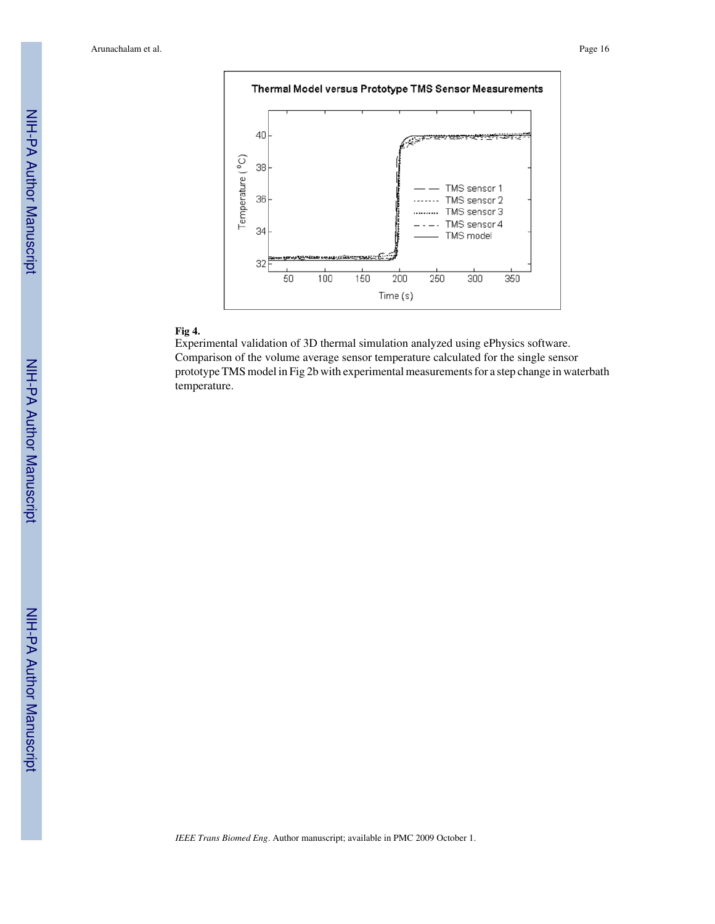

# **Fig 4.**

Experimental validation of 3D thermal simulation analyzed using ePhysics software. Comparison of the volume average sensor temperature calculated for the single sensor prototype TMS model in Fig 2b with experimental measurements for a step change in waterbath temperature.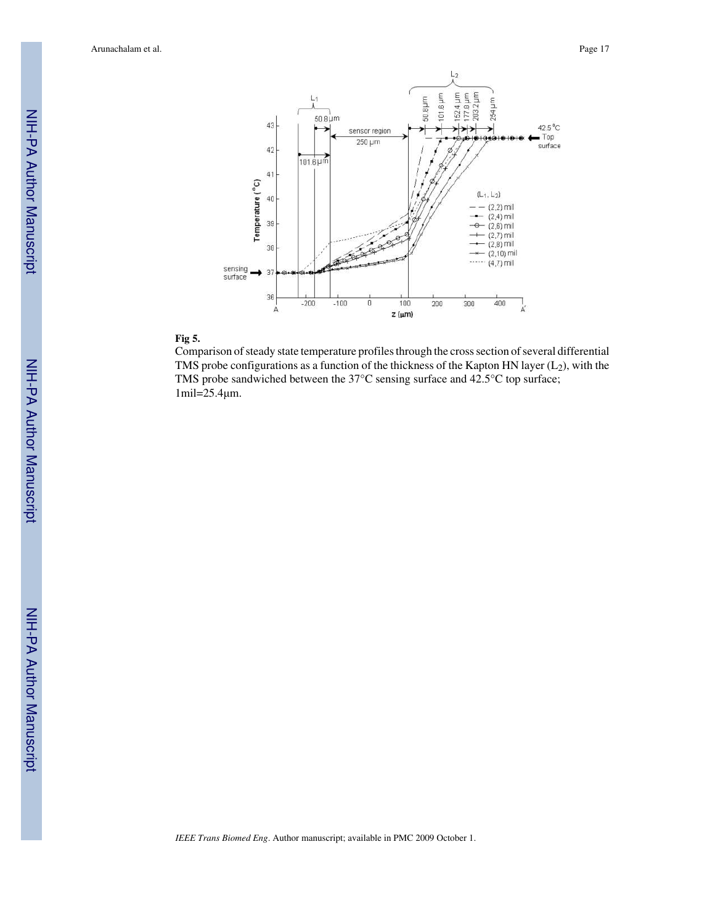

# **Fig 5.**

Comparison of steady state temperature profiles through the cross section of several differential TMS probe configurations as a function of the thickness of the Kapton HN layer  $(L_2)$ , with the TMS probe sandwiched between the 37°C sensing surface and 42.5°C top surface; 1mil=25.4μm.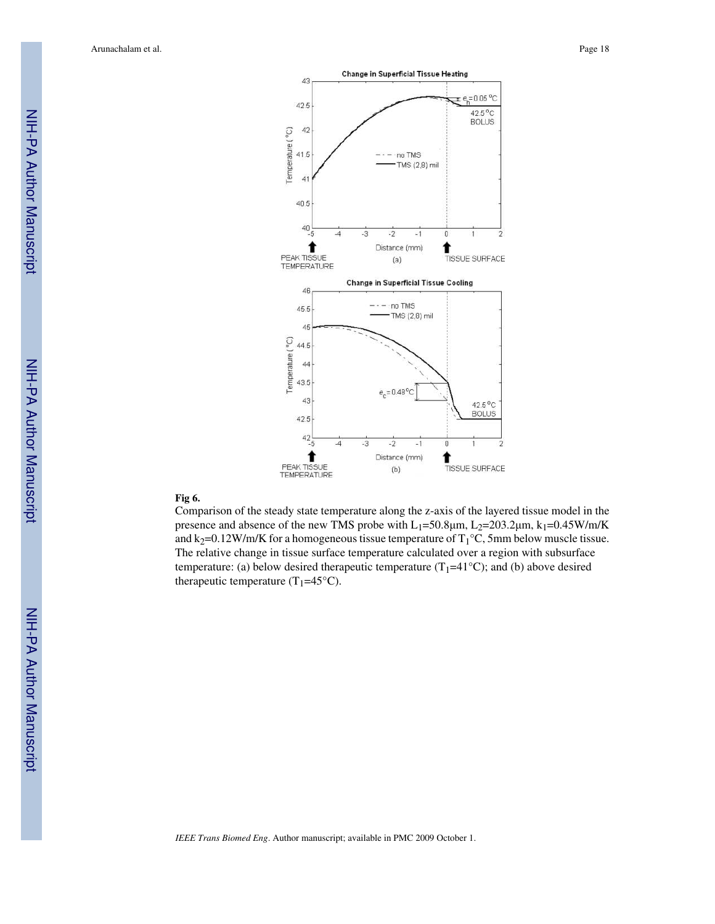

## **Fig 6.**

Comparison of the steady state temperature along the z-axis of the layered tissue model in the presence and absence of the new TMS probe with  $L_1$ =50.8 $\mu$ m,  $L_2$ =203.2 $\mu$ m,  $k_1$ =0.45W/m/K and k<sub>2</sub>=0.12W/m/K for a homogeneous tissue temperature of  $T_1$ °C, 5mm below muscle tissue. The relative change in tissue surface temperature calculated over a region with subsurface temperature: (a) below desired therapeutic temperature  $(T_1=41^{\circ}C)$ ; and (b) above desired therapeutic temperature (T<sub>1</sub>=45 $^{\circ}$ C).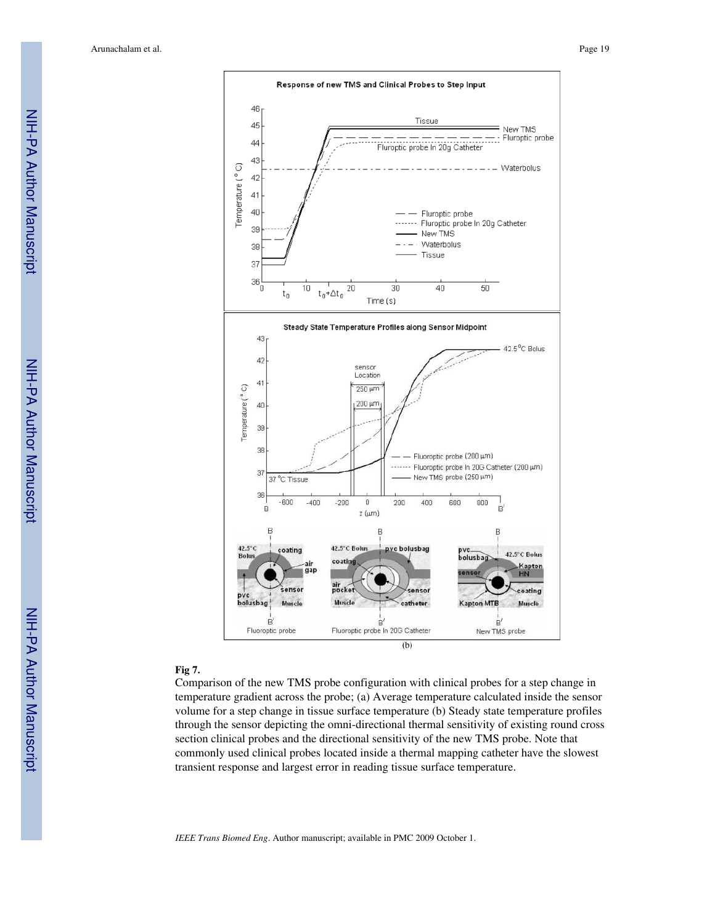

#### **Fig 7.**

Comparison of the new TMS probe configuration with clinical probes for a step change in temperature gradient across the probe; (a) Average temperature calculated inside the sensor volume for a step change in tissue surface temperature (b) Steady state temperature profiles through the sensor depicting the omni-directional thermal sensitivity of existing round cross section clinical probes and the directional sensitivity of the new TMS probe. Note that commonly used clinical probes located inside a thermal mapping catheter have the slowest transient response and largest error in reading tissue surface temperature.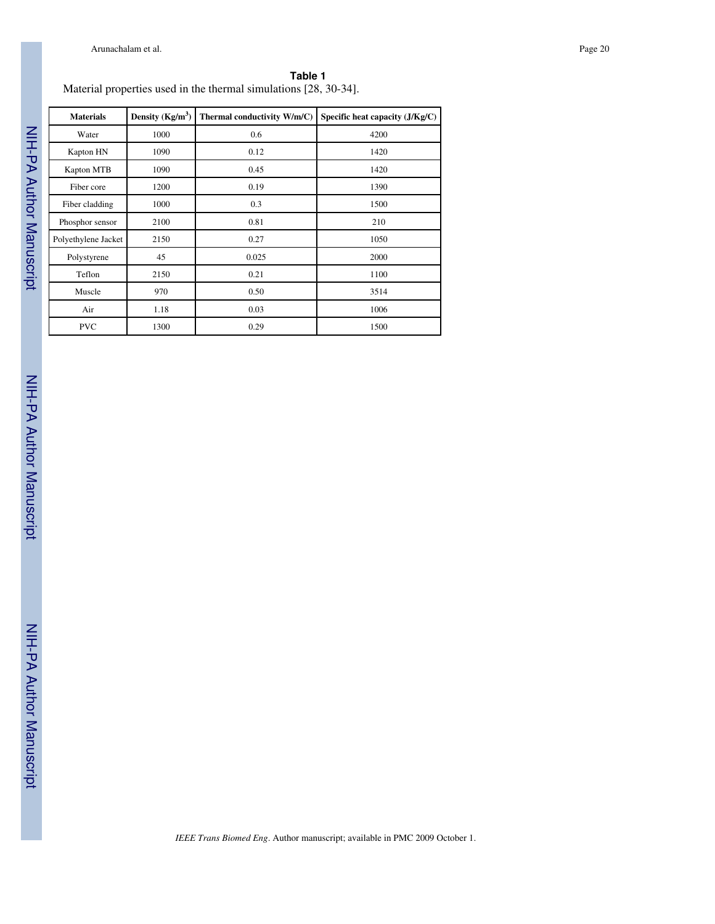| $m$ material properties used in the thermal simulations $(2\delta, 30-34)$ . |                    |                             |                                   |  |  |
|------------------------------------------------------------------------------|--------------------|-----------------------------|-----------------------------------|--|--|
| <b>Materials</b>                                                             | Density $(Kg/m^3)$ | Thermal conductivity W/m/C) | Specific heat capacity $(J/Kg/C)$ |  |  |
| Water                                                                        | 1000               | 0.6                         | 4200                              |  |  |
| Kapton HN                                                                    | 1090               | 0.12                        | 1420                              |  |  |
| Kapton MTB                                                                   | 1090               | 0.45                        | 1420                              |  |  |
| Fiber core                                                                   | 1200               | 0.19                        | 1390                              |  |  |
| Fiber cladding                                                               | 1000               | 0.3                         | 1500                              |  |  |
| Phosphor sensor                                                              | 2100               | 0.81                        | 210                               |  |  |
| Polyethylene Jacket                                                          | 2150               | 0.27                        | 1050                              |  |  |
| Polystyrene                                                                  | 45                 | 0.025                       | 2000                              |  |  |
| Teflon                                                                       | 2150               | 0.21                        | 1100                              |  |  |
| Muscle                                                                       | 970                | 0.50                        | 3514                              |  |  |
| Air                                                                          | 1.18               | 0.03                        | 1006                              |  |  |
| <b>PVC</b>                                                                   | 1300               | 0.29                        | 1500                              |  |  |

#### **Table 1** Material properties used in the thermal simulations [28, 30-34].

NIH-PA Author Manuscript NIH-PA Author Manuscript

I